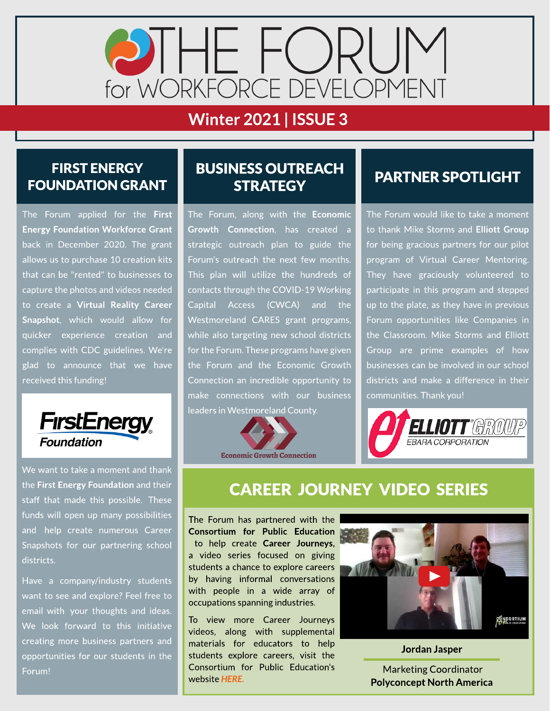

# **Winter 2021 | ISSUE 3**

### FIRST ENERGY FOUNDATION GRANT

The Forum applied for the First Energy Foundation Workforce Grant back in December 2020. The grant allows us to purchase 10 creation kits that can be "rented" to businesses to capture the photos and videos needed to create a Virtual Reality Career Snapshot, which would allow for quicker experience creation and complies with CDC guidelines. We're glad to announce that we have received this funding!



We want to take a moment and thank the First Energy Foundation and their staff that made this possible. These funds will open up many possibilities and help create numerous Career Snapshots for our partnering school districts.

Have a company/industry students want to see and explore? Feel free to email with your thoughts and ideas. We look forward to this initiative creating more business partners and opportunities for our students in the Forum!

### **BUSINESS OUTREACH STRATEGY**

The Forum, along with the Economic Growth Connection, has created a strategic outreach plan to guide the Forum's outreach the next few months. This plan will utilize the hundreds of contacts through the COVID-19 Working Capital Access (CWCA) and the Westmoreland CARES grant programs, while also targeting new school districts for the Forum. These programs have given the Forum and the Economic Growth Connection an incredible opportunity to make connections with our business leaders in Westmoreland County.



## PARTNER SPOTLIGHT

The Forum would like to take a moment to thank Mike Storms and Elliott Group for being gracious partners for our pilot program of Virtual Career Mentoring. They have graciously volunteered to participate in this program and stepped up to the plate, as they have in previous Forum opportunities like Companies in the Classroom. Mike Storms and Elliott Group are prime examples of how businesses can be involved in our school districts and make a difference in their communities.Thank you!



# CAREER JOURNEY VIDEO SERIES

The Forum has partnered with the Consortium for Public Education to help create Career Journeys, a video series focused on giving students a chance to explore careers by having informal conversations with people in a wide array of occupations spanning industries.

To view more Career Journeys videos, along with supplemental materials for educators to help students explore careers, visit the Consortium for Public Education's website **[HERE.](https://www.theconsortiumforpubliceducation.org/career-journeys/)**



Jordan Jasper .

Marketing Coordinator Polyconcept North America